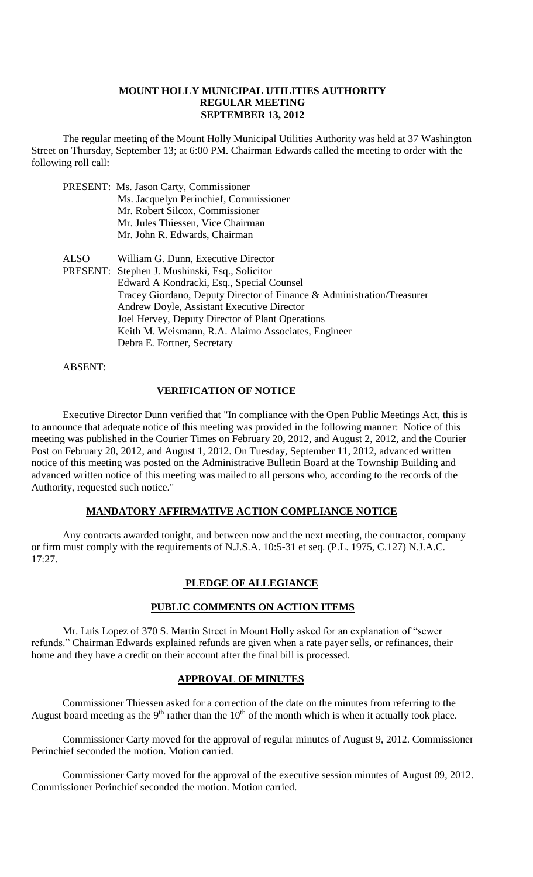#### **MOUNT HOLLY MUNICIPAL UTILITIES AUTHORITY REGULAR MEETING SEPTEMBER 13, 2012**

The regular meeting of the Mount Holly Municipal Utilities Authority was held at 37 Washington Street on Thursday, September 13; at 6:00 PM. Chairman Edwards called the meeting to order with the following roll call:

|      | <b>PRESENT:</b> Ms. Jason Carty, Commissioner<br>Ms. Jacquelyn Perinchief, Commissioner<br>Mr. Robert Silcox, Commissioner<br>Mr. Jules Thiessen, Vice Chairman<br>Mr. John R. Edwards, Chairman                                                                                                                                                                                                     |
|------|------------------------------------------------------------------------------------------------------------------------------------------------------------------------------------------------------------------------------------------------------------------------------------------------------------------------------------------------------------------------------------------------------|
| ALSO | William G. Dunn, Executive Director<br>PRESENT: Stephen J. Mushinski, Esq., Solicitor<br>Edward A Kondracki, Esq., Special Counsel<br>Tracey Giordano, Deputy Director of Finance & Administration/Treasurer<br>Andrew Doyle, Assistant Executive Director<br>Joel Hervey, Deputy Director of Plant Operations<br>Keith M. Weismann, R.A. Alaimo Associates, Engineer<br>Debra E. Fortner, Secretary |

ABSENT:

### **VERIFICATION OF NOTICE**

Executive Director Dunn verified that "In compliance with the Open Public Meetings Act, this is to announce that adequate notice of this meeting was provided in the following manner: Notice of this meeting was published in the Courier Times on February 20, 2012, and August 2, 2012, and the Courier Post on February 20, 2012, and August 1, 2012. On Tuesday, September 11, 2012, advanced written notice of this meeting was posted on the Administrative Bulletin Board at the Township Building and advanced written notice of this meeting was mailed to all persons who, according to the records of the Authority, requested such notice."

### **MANDATORY AFFIRMATIVE ACTION COMPLIANCE NOTICE**

Any contracts awarded tonight, and between now and the next meeting, the contractor, company or firm must comply with the requirements of N.J.S.A. 10:5-31 et seq. (P.L. 1975, C.127) N.J.A.C. 17:27.

# **PLEDGE OF ALLEGIANCE**

# **PUBLIC COMMENTS ON ACTION ITEMS**

Mr. Luis Lopez of 370 S. Martin Street in Mount Holly asked for an explanation of "sewer refunds." Chairman Edwards explained refunds are given when a rate payer sells, or refinances, their home and they have a credit on their account after the final bill is processed.

### **APPROVAL OF MINUTES**

Commissioner Thiessen asked for a correction of the date on the minutes from referring to the August board meeting as the 9<sup>th</sup> rather than the  $10<sup>th</sup>$  of the month which is when it actually took place.

Commissioner Carty moved for the approval of regular minutes of August 9, 2012. Commissioner Perinchief seconded the motion. Motion carried.

Commissioner Carty moved for the approval of the executive session minutes of August 09, 2012. Commissioner Perinchief seconded the motion. Motion carried.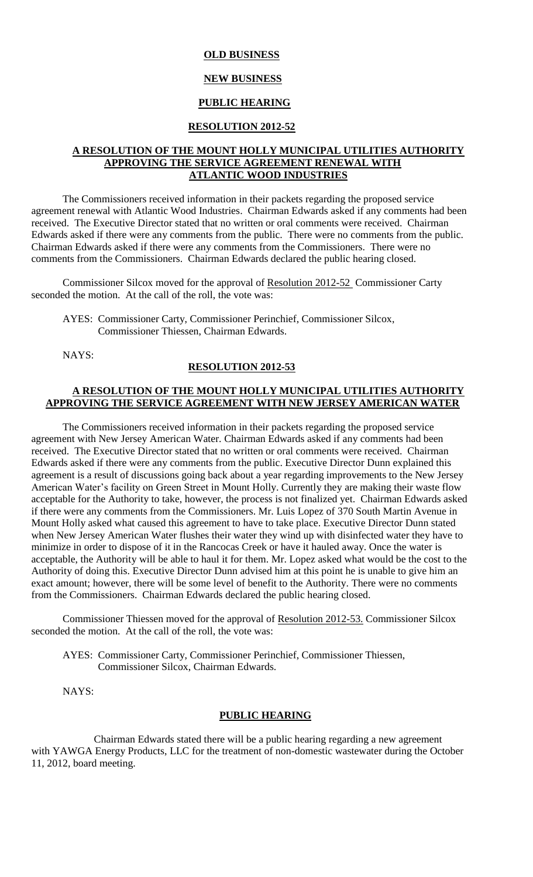#### **OLD BUSINESS**

#### **NEW BUSINESS**

# **PUBLIC HEARING**

#### **RESOLUTION 2012-52**

#### **A RESOLUTION OF THE MOUNT HOLLY MUNICIPAL UTILITIES AUTHORITY APPROVING THE SERVICE AGREEMENT RENEWAL WITH ATLANTIC WOOD INDUSTRIES**

The Commissioners received information in their packets regarding the proposed service agreement renewal with Atlantic Wood Industries. Chairman Edwards asked if any comments had been received. The Executive Director stated that no written or oral comments were received. Chairman Edwards asked if there were any comments from the public. There were no comments from the public. Chairman Edwards asked if there were any comments from the Commissioners. There were no comments from the Commissioners. Chairman Edwards declared the public hearing closed.

Commissioner Silcox moved for the approval of Resolution 2012-52 Commissioner Carty seconded the motion. At the call of the roll, the vote was:

AYES: Commissioner Carty, Commissioner Perinchief, Commissioner Silcox, Commissioner Thiessen, Chairman Edwards.

NAYS:

### **RESOLUTION 2012-53**

#### **A RESOLUTION OF THE MOUNT HOLLY MUNICIPAL UTILITIES AUTHORITY APPROVING THE SERVICE AGREEMENT WITH NEW JERSEY AMERICAN WATER**

The Commissioners received information in their packets regarding the proposed service agreement with New Jersey American Water. Chairman Edwards asked if any comments had been received. The Executive Director stated that no written or oral comments were received. Chairman Edwards asked if there were any comments from the public. Executive Director Dunn explained this agreement is a result of discussions going back about a year regarding improvements to the New Jersey American Water's facility on Green Street in Mount Holly. Currently they are making their waste flow acceptable for the Authority to take, however, the process is not finalized yet. Chairman Edwards asked if there were any comments from the Commissioners. Mr. Luis Lopez of 370 South Martin Avenue in Mount Holly asked what caused this agreement to have to take place. Executive Director Dunn stated when New Jersey American Water flushes their water they wind up with disinfected water they have to minimize in order to dispose of it in the Rancocas Creek or have it hauled away. Once the water is acceptable, the Authority will be able to haul it for them. Mr. Lopez asked what would be the cost to the Authority of doing this. Executive Director Dunn advised him at this point he is unable to give him an exact amount; however, there will be some level of benefit to the Authority. There were no comments from the Commissioners. Chairman Edwards declared the public hearing closed.

Commissioner Thiessen moved for the approval of Resolution 2012-53. Commissioner Silcox seconded the motion. At the call of the roll, the vote was:

AYES: Commissioner Carty, Commissioner Perinchief, Commissioner Thiessen, Commissioner Silcox, Chairman Edwards.

NAYS:

#### **PUBLIC HEARING**

Chairman Edwards stated there will be a public hearing regarding a new agreement with YAWGA Energy Products, LLC for the treatment of non-domestic wastewater during the October 11, 2012, board meeting.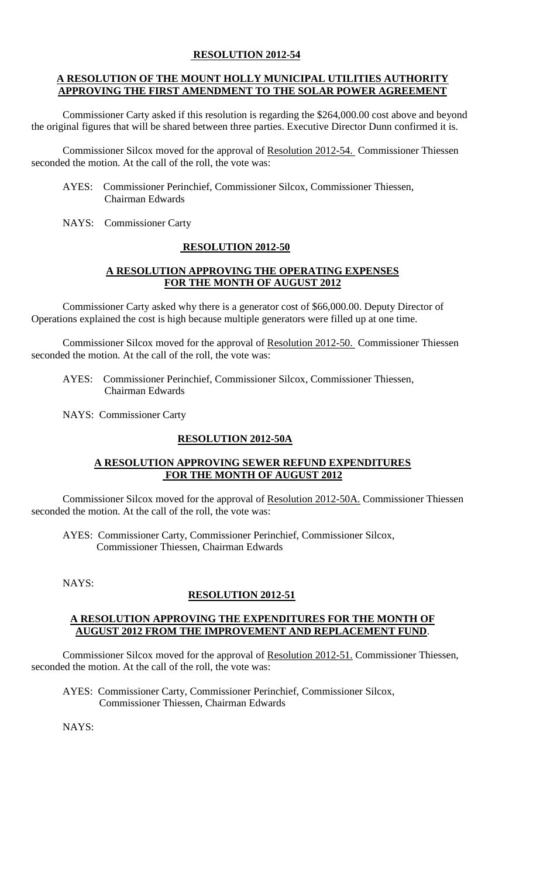# **RESOLUTION 2012-54**

### **A RESOLUTION OF THE MOUNT HOLLY MUNICIPAL UTILITIES AUTHORITY APPROVING THE FIRST AMENDMENT TO THE SOLAR POWER AGREEMENT**

Commissioner Carty asked if this resolution is regarding the \$264,000.00 cost above and beyond the original figures that will be shared between three parties. Executive Director Dunn confirmed it is.

Commissioner Silcox moved for the approval of Resolution 2012-54. Commissioner Thiessen seconded the motion. At the call of the roll, the vote was:

- AYES: Commissioner Perinchief, Commissioner Silcox, Commissioner Thiessen, Chairman Edwards
- NAYS: Commissioner Carty

# **RESOLUTION 2012-50**

# **A RESOLUTION APPROVING THE OPERATING EXPENSES FOR THE MONTH OF AUGUST 2012**

Commissioner Carty asked why there is a generator cost of \$66,000.00. Deputy Director of Operations explained the cost is high because multiple generators were filled up at one time.

Commissioner Silcox moved for the approval of Resolution 2012-50. Commissioner Thiessen seconded the motion. At the call of the roll, the vote was:

 AYES: Commissioner Perinchief, Commissioner Silcox, Commissioner Thiessen, Chairman Edwards

NAYS: Commissioner Carty

# **RESOLUTION 2012-50A**

### **A RESOLUTION APPROVING SEWER REFUND EXPENDITURES FOR THE MONTH OF AUGUST 2012**

Commissioner Silcox moved for the approval of Resolution 2012-50A. Commissioner Thiessen seconded the motion. At the call of the roll, the vote was:

AYES: Commissioner Carty, Commissioner Perinchief, Commissioner Silcox, Commissioner Thiessen, Chairman Edwards

NAYS:

# **RESOLUTION 2012-51**

### **A RESOLUTION APPROVING THE EXPENDITURES FOR THE MONTH OF AUGUST 2012 FROM THE IMPROVEMENT AND REPLACEMENT FUND**.

Commissioner Silcox moved for the approval of Resolution 2012-51. Commissioner Thiessen, seconded the motion. At the call of the roll, the vote was:

AYES: Commissioner Carty, Commissioner Perinchief, Commissioner Silcox, Commissioner Thiessen, Chairman Edwards

NAYS: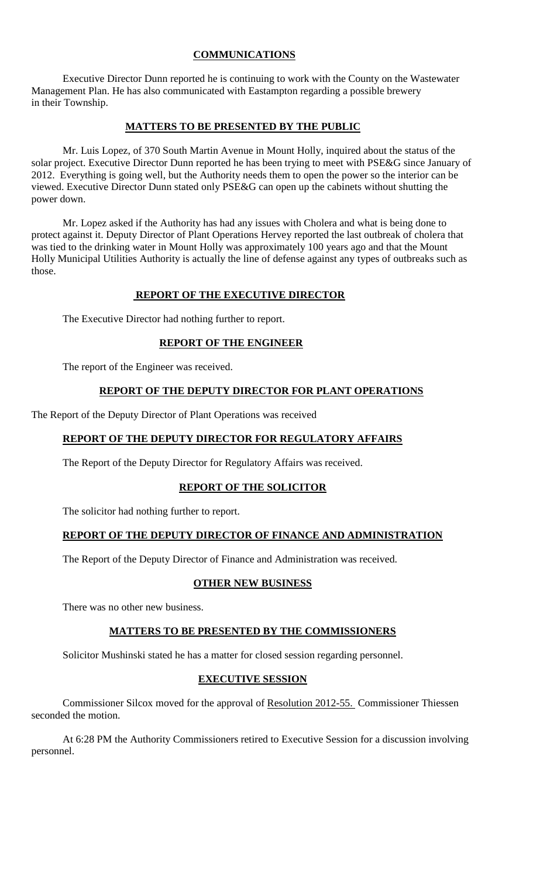# **COMMUNICATIONS**

Executive Director Dunn reported he is continuing to work with the County on the Wastewater Management Plan. He has also communicated with Eastampton regarding a possible brewery in their Township.

### **MATTERS TO BE PRESENTED BY THE PUBLIC**

Mr. Luis Lopez, of 370 South Martin Avenue in Mount Holly, inquired about the status of the solar project. Executive Director Dunn reported he has been trying to meet with PSE&G since January of 2012. Everything is going well, but the Authority needs them to open the power so the interior can be viewed. Executive Director Dunn stated only PSE&G can open up the cabinets without shutting the power down.

Mr. Lopez asked if the Authority has had any issues with Cholera and what is being done to protect against it. Deputy Director of Plant Operations Hervey reported the last outbreak of cholera that was tied to the drinking water in Mount Holly was approximately 100 years ago and that the Mount Holly Municipal Utilities Authority is actually the line of defense against any types of outbreaks such as those.

### **REPORT OF THE EXECUTIVE DIRECTOR**

The Executive Director had nothing further to report.

### **REPORT OF THE ENGINEER**

The report of the Engineer was received.

### **REPORT OF THE DEPUTY DIRECTOR FOR PLANT OPERATIONS**

The Report of the Deputy Director of Plant Operations was received

# **REPORT OF THE DEPUTY DIRECTOR FOR REGULATORY AFFAIRS**

The Report of the Deputy Director for Regulatory Affairs was received.

### **REPORT OF THE SOLICITOR**

The solicitor had nothing further to report.

# **REPORT OF THE DEPUTY DIRECTOR OF FINANCE AND ADMINISTRATION**

The Report of the Deputy Director of Finance and Administration was received.

### **OTHER NEW BUSINESS**

There was no other new business.

### **MATTERS TO BE PRESENTED BY THE COMMISSIONERS**

Solicitor Mushinski stated he has a matter for closed session regarding personnel.

### **EXECUTIVE SESSION**

Commissioner Silcox moved for the approval of Resolution 2012-55. Commissioner Thiessen seconded the motion.

At 6:28 PM the Authority Commissioners retired to Executive Session for a discussion involving personnel.